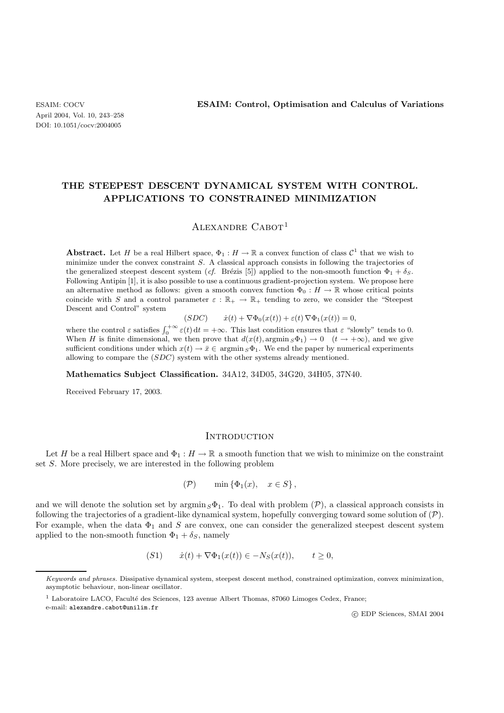# **THE STEEPEST DESCENT DYNAMICAL SYSTEM WITH CONTROL. APPLICATIONS TO CONSTRAINED MINIMIZATION**

## Alexandre Cabot<sup>1</sup>

**Abstract.** Let H be a real Hilbert space,  $\Phi_1 : H \to \mathbb{R}$  a convex function of class  $\mathcal{C}^1$  that we wish to minimize under the convex constraint S. A classical approach consists in following the trajectories of the generalized steepest descent system (*cf.* Brézis [5]) applied to the non-smooth function  $\Phi_1 + \delta_S$ . Following Antipin [1], it is also possible to use a continuous gradient-projection system. We propose here an alternative method as follows: given a smooth convex function  $\Phi_0 : H \to \mathbb{R}$  whose critical points coincide with S and a control parameter  $\varepsilon : \mathbb{R}_+ \to \mathbb{R}_+$  tending to zero, we consider the "Steepest" Descent and Control" system

$$
(SDC) \qquad \dot{x}(t) + \nabla \Phi_0(x(t)) + \varepsilon(t) \nabla \Phi_1(x(t)) = 0,
$$

where the control  $\varepsilon$  satisfies  $\int_0^{+\infty} \varepsilon(t) dt = +\infty$ . This last condition ensures that  $\varepsilon$  "slowly" tends to 0. When H is finite dimensional, we then prove that  $d(x(t), \argmin_{S} \Phi_1) \to 0$   $(t \to +\infty)$ , and we give sufficient conditions under which  $x(t) \to \bar{x} \in \text{argmin}_S \Phi_1$ . We end the paper by numerical experiments allowing to compare the (SDC) system with the other systems already mentioned.

**Mathematics Subject Classification.** 34A12, 34D05, 34G20, 34H05, 37N40.

Received February 17, 2003.

#### **INTRODUCTION**

Let H be a real Hilbert space and  $\Phi_1 : H \to \mathbb{R}$  a smooth function that we wish to minimize on the constraint set S. More precisely, we are interested in the following problem

$$
(\mathcal{P}) \qquad \min\left\{\Phi_1(x), \quad x \in S\right\},\
$$

and we will denote the solution set by  $\operatorname{argmin}_S \Phi_1$ . To deal with problem  $(\mathcal{P})$ , a classical approach consists in following the trajectories of a gradient-like dynamical system, hopefully converging toward some solution of  $(\mathcal{P})$ . For example, when the data  $\Phi_1$  and S are convex, one can consider the generalized steepest descent system applied to the non-smooth function  $\Phi_1 + \delta_S$ , namely

$$
(S1) \t\t \dot{x}(t) + \nabla \Phi_1(x(t)) \in -N_S(x(t)), \t t \ge 0,
$$

c EDP Sciences, SMAI 2004

Keywords and phrases. Dissipative dynamical system, steepest descent method, constrained optimization, convex minimization, asymptotic behaviour, non-linear oscillator.

 $1$  Laboratoire LACO, Faculté des Sciences, 123 avenue Albert Thomas, 87060 Limoges Cedex, France;

e-mail: alexandre.cabot@unilim.fr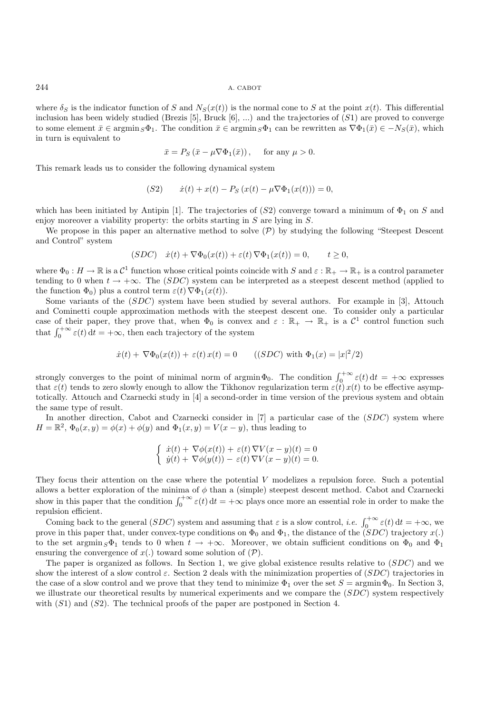where  $\delta_S$  is the indicator function of S and  $N_S(x(t))$  is the normal cone to S at the point  $x(t)$ . This differential inclusion has been widely studied (Brezis  $[5]$ , Bruck  $[6]$ , ...) and the trajectories of  $(S1)$  are proved to converge to some element  $\bar{x} \in \operatorname{argmin}_{S} \Phi_1$ . The condition  $\bar{x} \in \operatorname{argmin}_{S} \Phi_1$  can be rewritten as  $\nabla \Phi_1(\bar{x}) \in -N_S(\bar{x})$ , which in turn is equivalent to

$$
\bar{x} = P_S(\bar{x} - \mu \nabla \Phi_1(\bar{x})), \quad \text{ for any } \mu > 0.
$$

This remark leads us to consider the following dynamical system

$$
(S2) \t\t \dot{x}(t) + x(t) - P_S(x(t) - \mu \nabla \Phi_1(x(t))) = 0,
$$

which has been initiated by Antipin [1]. The trajectories of  $(S2)$  converge toward a minimum of  $\Phi_1$  on S and enjoy moreover a viability property: the orbits starting in  $S$  are lying in  $S$ .

We propose in this paper an alternative method to solve  $(\mathcal{P})$  by studying the following "Steepest Descent" and Control" system

$$
(SDC) \quad \dot{x}(t) + \nabla \Phi_0(x(t)) + \varepsilon(t) \nabla \Phi_1(x(t)) = 0, \qquad t \ge 0,
$$

where  $\Phi_0: H \to \mathbb{R}$  is a  $\mathcal{C}^1$  function whose critical points coincide with S and  $\varepsilon: \mathbb{R}_+ \to \mathbb{R}_+$  is a control parameter tending to 0 when  $t \to +\infty$ . The (SDC) system can be interpreted as a steepest descent method (applied to the function  $\Phi_0$ ) plus a control term  $\varepsilon(t) \nabla \Phi_1(x(t))$ .

Some variants of the (SDC) system have been studied by several authors. For example in [3], Attouch and Cominetti couple approximation methods with the steepest descent one. To consider only a particular case of their paper, they prove that, when  $\Phi_0$  is convex and  $\varepsilon : \mathbb{R}_+ \to \mathbb{R}_+$  is a  $\mathcal{C}^1$  control function such that  $\int_0^{+\infty} \varepsilon(t) dt = +\infty$ , then each trajectory of the system

$$
\dot{x}(t) + \nabla \Phi_0(x(t)) + \varepsilon(t) x(t) = 0 \qquad ((SDC) \text{ with } \Phi_1(x) = |x|^2/2)
$$

strongly converges to the point of minimal norm of argmin $\Phi_0$ . The condition  $\int_0^{+\infty} \varepsilon(t) dt = +\infty$  expresses that  $\varepsilon(t)$  tends to zero slowly enough to allow the Tikhonov regularization term  $\varepsilon(t)$  x(t) to be effective asymptotically. Attouch and Czarnecki study in [4] a second-order in time version of the previous system and obtain the same type of result.

In another direction, Cabot and Czarnecki consider in [7] a particular case of the (SDC) system where  $H = \mathbb{R}^2$ ,  $\Phi_0(x, y) = \phi(x) + \phi(y)$  and  $\Phi_1(x, y) = V(x - y)$ , thus leading to

$$
\begin{cases} \dot{x}(t) + \nabla \phi(x(t)) + \varepsilon(t) \nabla V(x - y)(t) = 0 \\ \dot{y}(t) + \nabla \phi(y(t)) - \varepsilon(t) \nabla V(x - y)(t) = 0. \end{cases}
$$

They focus their attention on the case where the potential V modelizes a repulsion force. Such a potential allows a better exploration of the minima of  $\phi$  than a (simple) steepest descent method. Cabot and Czarnecki show in this paper that the condition  $\int_0^{+\infty} \varepsilon(t) dt = +\infty$  plays once more an essential role in order to make the repulsion efficient.

Coming back to the general (SDC) system and assuming that  $\varepsilon$  is a slow control, *i.e.*  $\int_0^{+\infty} \varepsilon(t) dt = +\infty$ , we prove in this paper that, under convex-type conditions on  $\Phi_0$  and  $\Phi_1$ , the distance of the  $(SDC)$  trajectory  $x(.)$ to the set argmin  $S_{\sigma_1}$  tends to 0 when  $t \to +\infty$ . Moreover, we obtain sufficient conditions on  $\Phi_0$  and  $\Phi_1$ ensuring the convergence of  $x(.)$  toward some solution of  $(\mathcal{P}).$ 

The paper is organized as follows. In Section 1, we give global existence results relative to  $(SDC)$  and we show the interest of a slow control  $\varepsilon$ . Section 2 deals with the minimization properties of  $(SDC)$  trajectories in the case of a slow control and we prove that they tend to minimize  $\Phi_1$  over the set  $S = \argmin \Phi_0$ . In Section 3, we illustrate our theoretical results by numerical experiments and we compare the (SDC) system respectively with  $(S1)$  and  $(S2)$ . The technical proofs of the paper are postponed in Section 4.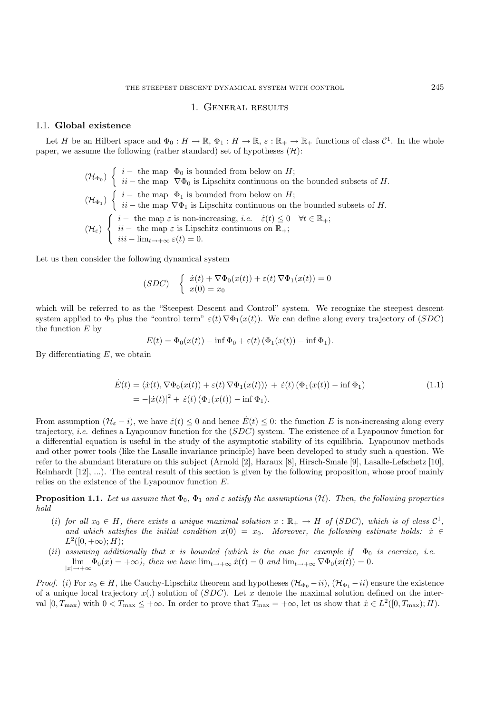#### 1. General results

### 1.1. **Global existence**

Let H be an Hilbert space and  $\Phi_0 : H \to \mathbb{R}, \Phi_1 : H \to \mathbb{R}, \varepsilon : \mathbb{R}_+ \to \mathbb{R}_+$  functions of class  $\mathcal{C}^1$ . In the whole paper, we assume the following (rather standard) set of hypotheses  $(\mathcal{H})$ :

$$
(\mathcal{H}_{\Phi_0}) \left\{ \begin{array}{ll} i - \text{ the map } \Phi_0 \text{ is bounded from below on } H; \\ ii - \text{ the map } \nabla \Phi_0 \text{ is Lipschitz continuous on the bounded subsets of } H. \\ (H_{\Phi_1}) \left\{ \begin{array}{ll} i - \text{ the map } \Phi_1 \text{ is bounded from below on } H; \\ ii - \text{ the map } \nabla \Phi_1 \text{ is Lipschitz continuous on the bounded subsets of } H. \\ (H_{\varepsilon}) \left\{ \begin{array}{ll} i - \text{ the map } \varepsilon \text{ is non-increasing, } i.e. & \dot{\varepsilon}(t) \leq 0 \quad \forall t \in \mathbb{R}_+; \\ ii - \text{ the map } \varepsilon \text{ is Lipschitz continuous on } \mathbb{R}_+; \\ iii - \lim_{t \to +\infty} \varepsilon(t) = 0. \end{array} \right.
$$

Let us then consider the following dynamical system

$$
(SDC) \quad \begin{cases} \dot{x}(t) + \nabla \Phi_0(x(t)) + \varepsilon(t) \, \nabla \Phi_1(x(t)) = 0 \\ x(0) = x_0 \end{cases}
$$

which will be referred to as the "Steepest Descent and Control" system. We recognize the steepest descent system applied to  $\Phi_0$  plus the "control term"  $\varepsilon(t) \nabla \Phi_1(x(t))$ . We can define along every trajectory of (SDC) the function  $E$  by

$$
E(t) = \Phi_0(x(t)) - \inf \Phi_0 + \varepsilon(t) \left( \Phi_1(x(t)) - \inf \Phi_1 \right).
$$

By differentiating  $E$ , we obtain

$$
\dot{E}(t) = \langle \dot{x}(t), \nabla \Phi_0(x(t)) + \varepsilon(t) \nabla \Phi_1(x(t)) \rangle + \dot{\varepsilon}(t) (\Phi_1(x(t)) - \inf \Phi_1)
$$
\n
$$
= -|\dot{x}(t)|^2 + \dot{\varepsilon}(t) (\Phi_1(x(t)) - \inf \Phi_1).
$$
\n(1.1)

From assumption  $(\mathcal{H}_{\varepsilon} - i)$ , we have  $\dot{\varepsilon}(t) \leq 0$  and hence  $\dot{E}(t) \leq 0$ : the function E is non-increasing along every trajectory, *i.e.* defines a Lyapounov function for the (SDC) system. The existence of a Lyapounov function for a differential equation is useful in the study of the asymptotic stability of its equilibria. Lyapounov methods and other power tools (like the Lasalle invariance principle) have been developed to study such a question. We refer to the abundant literature on this subject (Arnold [2], Haraux [8], Hirsch-Smale [9], Lasalle-Lefschetz [10], Reinhardt [12], ...). The central result of this section is given by the following proposition, whose proof mainly relies on the existence of the Lyapounov function E.

**Proposition 1.1.** Let us assume that  $\Phi_0$ ,  $\Phi_1$  and  $\varepsilon$  satisfy the assumptions  $(\mathcal{H})$ . Then, the following properties *hold*

- (i) for all  $x_0 \in H$ , there exists a unique maximal solution  $x : \mathbb{R}_+ \to H$  of (SDC), which is of class  $\mathcal{C}^1$ , and which satisfies the initial condition  $x(0) = x_0$ . Moreover, the following estimate holds:  $\dot{x} \in$  $L^2([0, +\infty); H);$
- (*ii*) assuming additionally that x is bounded (which is the case for example if  $\Phi_0$  is coercive, i.e.  $\lim_{|x| \to +\infty} \Phi_0(x) = +\infty$ *), then we have*  $\lim_{t \to +\infty} \dot{x}(t) = 0$  *and*  $\lim_{t \to +\infty} \nabla \Phi_0(x(t)) = 0$ *.*

*Proof.* (i) For  $x_0 \in H$ , the Cauchy-Lipschitz theorem and hypotheses  $(\mathcal{H}_{\Phi_0} - ii)$ ,  $(\mathcal{H}_{\Phi_1} - ii)$  ensure the existence of a unique local trajectory  $x(.)$  solution of  $(SDC)$ . Let x denote the maximal solution defined on the interval  $[0, T_{\text{max}})$  with  $0 < T_{\text{max}} \leq +\infty$ . In order to prove that  $T_{\text{max}} = +\infty$ , let us show that  $\dot{x} \in L^2([0, T_{\text{max}}); H)$ .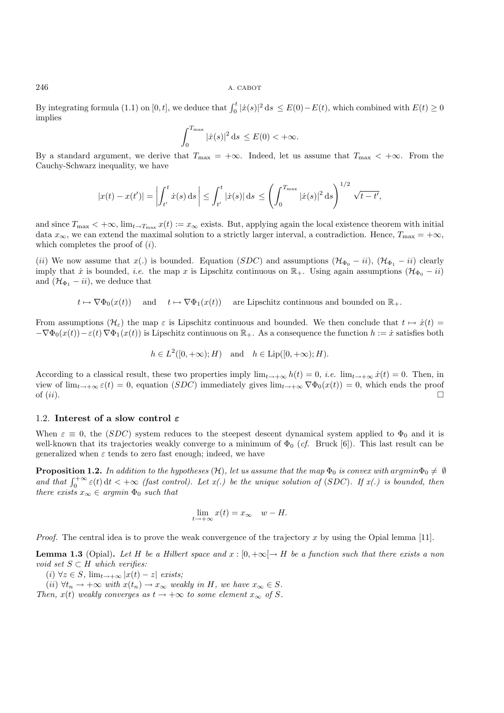By integrating formula (1.1) on [0, t], we deduce that  $\int_0^t |x(s)|^2 ds \le E(0) - E(t)$ , which combined with  $E(t) \ge 0$ implies

$$
\int_0^{T_{\max}} |\dot{x}(s)|^2 ds \le E(0) < +\infty.
$$

By a standard argument, we derive that  $T_{\text{max}} = +\infty$ . Indeed, let us assume that  $T_{\text{max}} < +\infty$ . From the Cauchy-Schwarz inequality, we have

$$
|x(t) - x(t')| = \left| \int_{t'}^t \dot{x}(s) \, ds \right| \leq \int_{t'}^t |\dot{x}(s)| \, ds \leq \left( \int_0^{T_{\text{max}}} |\dot{x}(s)|^2 \, ds \right)^{1/2} \sqrt{t - t'},
$$

and since  $T_{\text{max}} < +\infty$ ,  $\lim_{t \to T_{\text{max}}} x(t) := x_{\infty}$  exists. But, applying again the local existence theorem with initial data  $x_{\infty}$ , we can extend the maximal solution to a strictly larger interval, a contradiction. Hence,  $T_{\max} = +\infty$ , which completes the proof of  $(i)$ .

(ii) We now assume that x(.) is bounded. Equation (SDC) and assumptions  $(\mathcal{H}_{\Phi_0} - i i)$ ,  $(\mathcal{H}_{\Phi_1} - i i)$  clearly imply that *i* is bounded, *i.e.* the map x is Lipschitz continuous on  $\mathbb{R}_+$ . Using again assumptions ( $\mathcal{H}_{\Phi_0} - i i$ ) and  $(\mathcal{H}_{\Phi_1} - ii)$ , we deduce that

 $t \mapsto \nabla \Phi_0(x(t))$  and  $t \mapsto \nabla \Phi_1(x(t))$  are Lipschitz continuous and bounded on  $\mathbb{R}_+$ .

From assumptions  $(\mathcal{H}_{\varepsilon})$  the map  $\varepsilon$  is Lipschitz continuous and bounded. We then conclude that  $t \mapsto \dot{x}(t)$  $-\nabla\Phi_0(x(t))-\varepsilon(t)\nabla\Phi_1(x(t))$  is Lipschitz continuous on  $\mathbb{R}_+$ . As a consequence the function  $h := \dot{x}$  satisfies both

$$
h \in L^2([0, +\infty); H) \quad \text{and} \quad h \in \text{Lip}([0, +\infty); H).
$$

According to a classical result, these two properties imply  $\lim_{t\to+\infty} h(t) = 0$ , *i.e.*  $\lim_{t\to+\infty} \dot{x}(t) = 0$ . Then, in view of  $\lim_{t\to+\infty} \varepsilon(t) = 0$ , equation  $(SDC)$  immediately gives  $\lim_{t\to+\infty} \nabla \Phi_0(x(t)) = 0$ , which ends the proof of *(ii)*. of  $(ii)$ .

#### 1.2. **Interest of a slow control** *ε*

When  $\varepsilon \equiv 0$ , the (SDC) system reduces to the steepest descent dynamical system applied to  $\Phi_0$  and it is well-known that its trajectories weakly converge to a minimum of  $\Phi_0$  (*cf.* Bruck [6]). This last result can be generalized when  $\varepsilon$  tends to zero fast enough; indeed, we have

**Proposition 1.2.** In addition to the hypotheses  $(H)$ , let us assume that the map  $\Phi_0$  is convex with argmin $\Phi_0 \neq \emptyset$ and that  $\int_0^{+\infty} \varepsilon(t) dt < +\infty$  *(fast control).* Let  $x(.)$  be the unique solution of (SDC). If  $x(.)$  is bounded, then *there exists*  $x_{\infty} \in argmin \Phi_0$  *such that* 

$$
\lim_{t \to +\infty} x(t) = x_{\infty} \quad w - H.
$$

*Proof.* The central idea is to prove the weak convergence of the trajectory x by using the Opial lemma [11].

**Lemma 1.3** (Opial). Let H be a Hilbert space and  $x : [0, +\infty) \rightarrow H$  be a function such that there exists a non *void set*  $S \subset H$  *which verifies:* 

 $(i) \forall z \in S$ ,  $\lim_{t \to +\infty} |x(t) - z|$  *exists*;

(ii)  $\forall t_n \to +\infty$  *with*  $x(t_n) \to x_\infty$  *weakly in H, we have*  $x_\infty \in S$ *.* 

*Then,*  $x(t)$  *weakly converges as*  $t \rightarrow +\infty$  *to some element*  $x_{\infty}$  *of S.*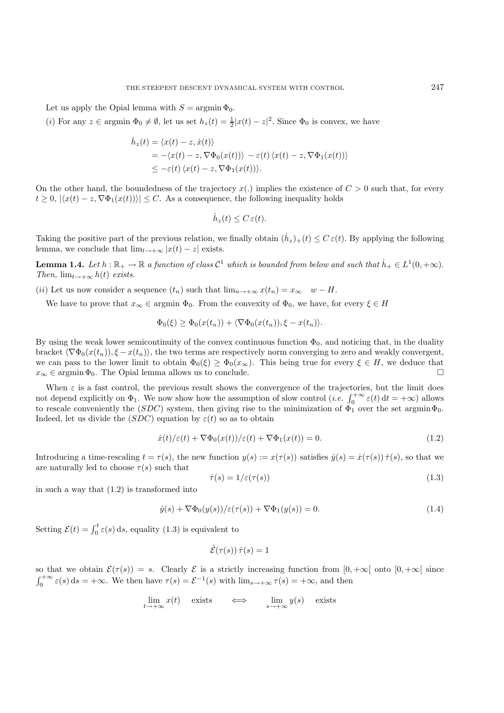Let us apply the Opial lemma with  $S = \operatorname{argmin} \Phi_0$ .

(*i*) For any  $z \in \text{argmin } \Phi_0 \neq \emptyset$ , let us set  $h_z(t) = \frac{1}{2}|x(t) - z|^2$ . Since  $\Phi_0$  is convex, we have

$$
\dot{h}_z(t) = \langle x(t) - z, \dot{x}(t) \rangle
$$
  
= -\langle x(t) - z, \nabla \Phi\_0(x(t)) \rangle - \varepsilon(t) \langle x(t) - z, \nabla \Phi\_1(x(t)) \rangle  
\le -\varepsilon(t) \langle x(t) - z, \nabla \Phi\_1(x(t)) \rangle.

On the other hand, the boundedness of the trajectory  $x(.)$  implies the existence of  $C > 0$  such that, for every  $t \geq 0, |\langle x(t) - z, \nabla \Phi_1(x(t)) \rangle| \leq C$ . As a consequence, the following inequality holds

$$
\dot{h}_z(t) \le C \,\varepsilon(t).
$$

Taking the positive part of the previous relation, we finally obtain  $(h_z)_+(t) \leq C \varepsilon(t)$ . By applying the following lemma, we conclude that  $\lim_{t\to+\infty} |x(t)-z|$  exists.

**Lemma 1.4.** *Let*  $h : \mathbb{R}_+ \to \mathbb{R}$  *a function of class*  $\mathcal{C}^1$  *which is bounded from below and such that*  $h_+ \in L^1(0, +\infty)$ . *Then,*  $\lim_{t\to+\infty} h(t)$  *exists.* 

(ii) Let us now consider a sequence  $(t_n)$  such that  $\lim_{n\to+\infty} x(t_n) = x_\infty$  w – H.

We have to prove that  $x_{\infty} \in \text{argmin } \Phi_0$ . From the convexity of  $\Phi_0$ , we have, for every  $\xi \in H$ 

$$
\Phi_0(\xi) \ge \Phi_0(x(t_n)) + \langle \nabla \Phi_0(x(t_n)), \xi - x(t_n) \rangle.
$$

By using the weak lower semicontinuity of the convex continuous function  $\Phi_0$ , and noticing that, in the duality bracket  $\langle \nabla \Phi_0(x(t_n)), \xi - x(t_n) \rangle$ , the two terms are respectively norm converging to zero and weakly convergent, we can pass to the lower limit to obtain  $\Phi_0(\xi) \ge \Phi_0(x_\infty)$ . This being true for every  $\xi \in H$ , we deduce that  $x_\infty \in \text{argmin } \Phi_0$ . The Opial lemma allows us to conclude.  $x_{\infty} \in \operatorname{argmin} \Phi_0$ . The Opial lemma allows us to conclude.

When  $\varepsilon$  is a fast control, the previous result shows the convergence of the trajectories, but the limit does not depend explicitly on  $\Phi_1$ . We now show how the assumption of slow control (*i.e.*  $\int_0^{+\infty} \varepsilon(t) dt = +\infty$ ) allows to rescale conveniently the (SDC) system, then giving rise to the minimization of  $\Phi_1$  over the set argmin $\Phi_0$ . Indeed, let us divide the  $(SDC)$  equation by  $\varepsilon(t)$  so as to obtain

$$
\dot{x}(t)/\varepsilon(t) + \nabla \Phi_0(x(t))/\varepsilon(t) + \nabla \Phi_1(x(t)) = 0.
$$
\n(1.2)

Introducing a time-rescaling  $t = \tau(s)$ , the new function  $y(s) := x(\tau(s))$  satisfies  $\dot{y}(s) = \dot{x}(\tau(s)) \dot{\tau}(s)$ , so that we are naturally led to choose  $\tau(s)$  such that

$$
\dot{\tau}(s) = 1/\varepsilon(\tau(s))\tag{1.3}
$$

in such a way that (1.2) is transformed into

$$
\dot{y}(s) + \nabla \Phi_0(y(s)) / \varepsilon(\tau(s)) + \nabla \Phi_1(y(s)) = 0.
$$
\n(1.4)

Setting  $\mathcal{E}(t) = \int_0^t \varepsilon(s) \, ds$ , equality (1.3) is equivalent to

$$
\dot{\mathcal{E}}(\tau(s))\,\dot{\tau}(s)=1
$$

so that we obtain  $\mathcal{E}(\tau(s)) = s$ . Clearly  $\mathcal E$  is a strictly increasing function from  $[0, +\infty]$  onto  $[0, +\infty]$  since  $\int_0^{+\infty} \varepsilon(s) ds = +\infty$ . We then have  $\tau(s) = \mathcal{E}^{-1}(s)$  with  $\lim_{s \to +\infty} \tau(s) = +\infty$ , and then

$$
\lim_{t \to +\infty} x(t) \quad \text{exists} \quad \iff \quad \lim_{s \to +\infty} y(s) \quad \text{exists}
$$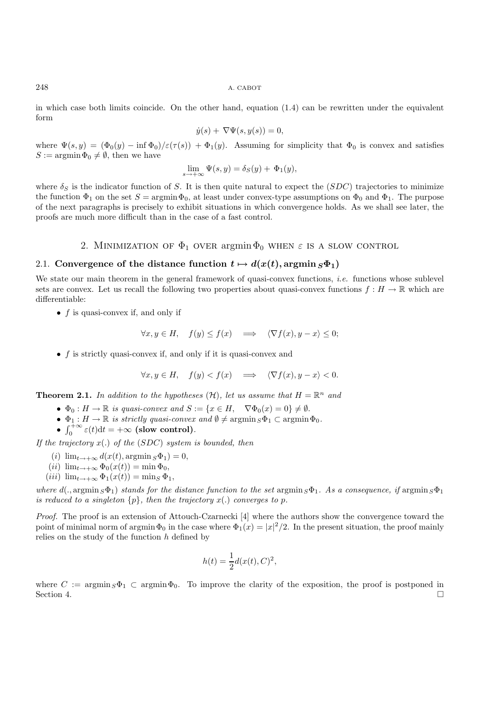in which case both limits coincide. On the other hand, equation  $(1.4)$  can be rewritten under the equivalent form

$$
\dot{y}(s) + \nabla \Psi(s, y(s)) = 0,
$$

where  $\Psi(s, y) = (\Phi_0(y) - \inf \Phi_0)/\varepsilon(\tau(s)) + \Phi_1(y)$ . Assuming for simplicity that  $\Phi_0$  is convex and satisfies  $S := \argmin \Phi_0 \neq \emptyset$ , then we have

$$
\lim_{s \to +\infty} \Psi(s, y) = \delta_S(y) + \Phi_1(y),
$$

where  $\delta_S$  is the indicator function of S. It is then quite natural to expect the (SDC) trajectories to minimize the function  $\Phi_1$  on the set  $S = \argmin \Phi_0$ , at least under convex-type assumptions on  $\Phi_0$  and  $\Phi_1$ . The purpose of the next paragraphs is precisely to exhibit situations in which convergence holds. As we shall see later, the proofs are much more difficult than in the case of a fast control.

## 2. MINIMIZATION OF  $\Phi_1$  over argmin  $\Phi_0$  when  $\varepsilon$  is a slow control

## 2.1. Convergence of the distance function  $t \mapsto d(x(t), \arg\min_{S} \Phi_1)$

We state our main theorem in the general framework of quasi-convex functions, *i.e.* functions whose sublevel sets are convex. Let us recall the following two properties about quasi-convex functions  $f : H \to \mathbb{R}$  which are differentiable:

•  $f$  is quasi-convex if, and only if

$$
\forall x, y \in H, \quad f(y) \le f(x) \quad \Longrightarrow \quad \langle \nabla f(x), y - x \rangle \le 0;
$$

•  $f$  is strictly quasi-convex if, and only if it is quasi-convex and

$$
\forall x, y \in H, \quad f(y) < f(x) \quad \Longrightarrow \quad \langle \nabla f(x), y - x \rangle < 0.
$$

**Theorem 2.1.** In addition to the hypotheses  $(H)$ , let us assume that  $H = \mathbb{R}^n$  and

- $\Phi_0 : H \to \mathbb{R}$  is quasi-convex and  $S := \{x \in H, \quad \nabla \Phi_0(x) = 0\} \neq \emptyset$ .
- $\Phi_1: H \to \mathbb{R}$  *is strictly quasi-convex and*  $\emptyset \neq \operatorname{argmin}_{S} \Phi_1 \subset \operatorname{argmin}_{S} \Phi_0$ .
- $\int_0^{+\infty} \varepsilon(t) dt = +\infty$  (slow control)*.*

*If the trajectory* x(.) *of the* (SDC) *system is bounded, then*

- (i)  $\lim_{t\to+\infty} d(x(t), \arg\min_{S} \Phi_1)=0,$
- (*ii*)  $\lim_{t\to+\infty} \Phi_0(x(t)) = \min \Phi_0$ ,
- (iii)  $\lim_{t\to+\infty} \Phi_1(x(t)) = \min_S \Phi_1$ ,

*where*  $d(., \operatorname{argmin}_S \Phi_1)$  *stands for the distance function to the set*  $\operatorname{argmin}_S \Phi_1$ . As a consequence, if  $\operatorname{argmin}_S \Phi_1$ *is reduced to a singleton*  $\{p\}$ *, then the trajectory*  $x(.)$  *converges to p.* 

*Proof.* The proof is an extension of Attouch-Czarnecki [4] where the authors show the convergence toward the point of minimal norm of argmin  $\Phi_0$  in the case where  $\Phi_1(x) = |x|^2/2$ . In the present situation, the proof mainly relies on the study of the function  $h$  defined by

$$
h(t) = \frac{1}{2}d(x(t), C)^2,
$$

where  $C := \operatorname{argmin}_{S} \Phi_1 \subset \operatorname{argmin}_{S} \Phi_0$ . To improve the clarity of the exposition, the proof is postponed in Section 4. Section 4.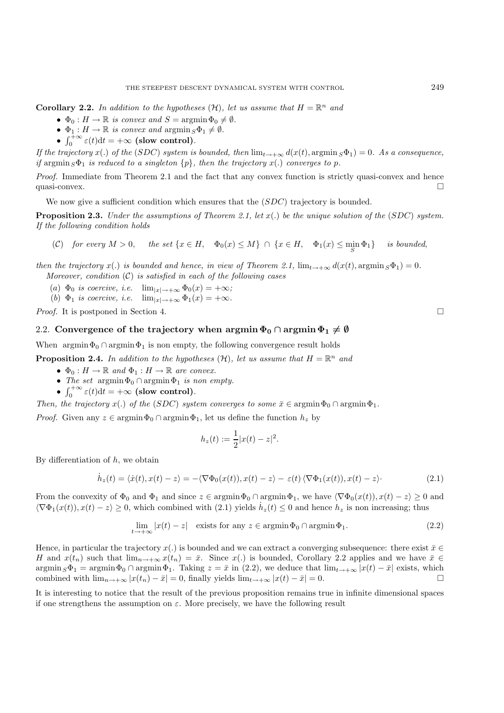**Corollary 2.2.** In addition to the hypotheses  $(H)$ , let us assume that  $H = \mathbb{R}^n$  and

- $\Phi_0: H \to \mathbb{R}$  is convex and  $S = \operatorname{argmin} \Phi_0 \neq \emptyset$ .
- $\Phi_1: H \to \mathbb{R}$  *is convex and*  $\operatorname{argmin}_S \Phi_1 \neq \emptyset$ .
- $\int_0^{+\infty} \varepsilon(t) dt = +\infty$  (slow control)*.*

*If the trajectory*  $x(.)$  *of the* (SDC) system is bounded, then  $\lim_{t\to+\infty} d(x(t), \arg\min_{S} \Phi_1) = 0$ . As a consequence, *if* argmin  $S\Phi_1$  *is reduced to a singleton*  $\{p\}$ *, then the trajectory*  $x(.)$  *converges to p.* 

*Proof.* Immediate from Theorem 2.1 and the fact that any convex function is strictly quasi-convex and hence quasi-convex.  $\Box$ 

We now give a sufficient condition which ensures that the  $(SDC)$  trajectory is bounded.

**Proposition 2.3.** *Under the assumptions of Theorem 2.1, let* x(.) *be the unique solution of the* (SDC) *system. If the following condition holds*

(C) for every 
$$
M > 0
$$
, the set  $\{x \in H, \Phi_0(x) \le M\} \cap \{x \in H, \Phi_1(x) \le \min_S \Phi_1\}$  is bounded,

*then the trajectory*  $x(.)$  *is bounded and hence, in view of Theorem 2.1,*  $\lim_{t\to+\infty} d(x(t), \arg\min_{S} \Phi_1) = 0$ *. Moreover, condition* (C) *is satisfied in each of the following cases*

- (a)  $\Phi_0$  *is coercive, i.e.*  $\lim_{|x| \to +\infty} \Phi_0(x) = +\infty$ ;
- (b)  $\Phi_1$  *is coercive, i.e.*  $\lim_{|x| \to +\infty} \Phi_1(x) = +\infty$ *.*

*Proof.* It is postponed in Section 4. □

## 2.2. Convergence of the trajectory when  $\text{argmin } \Phi_0 \cap \text{argmin } \Phi_1 \neq \emptyset$

When  $\argmin \Phi_0 \cap \argmin \Phi_1$  is non empty, the following convergence result holds

**Proposition 2.4.** In addition to the hypotheses  $(\mathcal{H})$ , let us assume that  $H = \mathbb{R}^n$  and

- $\Phi_0: H \to \mathbb{R}$  and  $\Phi_1: H \to \mathbb{R}$  are convex.
- *The set*  $\operatorname{argmin} \Phi_0 \cap \operatorname{argmin} \Phi_1$  *is non empty.*
- $\int_0^{+\infty} \varepsilon(t) dt = +\infty$  (slow control)*.*

*Then, the trajectory*  $x(.)$  *of the (SDC) system converges to some*  $\bar{x} \in \operatorname{argmin} \Phi_0 \cap \operatorname{argmin} \Phi_1$ .

*Proof.* Given any  $z \in \operatorname{argmin} \Phi_0 \cap \operatorname{argmin} \Phi_1$ , let us define the function  $h_z$  by

$$
h_z(t) := \frac{1}{2}|x(t) - z|^2.
$$

By differentiation of  $h$ , we obtain

$$
\dot{h}_z(t) = \langle \dot{x}(t), x(t) - z \rangle = -\langle \nabla \Phi_0(x(t)), x(t) - z \rangle - \varepsilon(t) \langle \nabla \Phi_1(x(t)), x(t) - z \rangle. \tag{2.1}
$$

From the convexity of  $\Phi_0$  and  $\Phi_1$  and since  $z \in \operatorname{argmin} \Phi_0 \cap \operatorname{argmin} \Phi_1$ , we have  $\langle \nabla \Phi_0(x(t)), x(t) - z \rangle \geq 0$  and  $\langle \nabla \Phi_1(x(t)), x(t) - z \rangle \ge 0$ , which combined with  $(2.1)$  yields  $h_z(t) \le 0$  and hence  $h_z$  is non increasing; thus

$$
\lim_{t \to +\infty} |x(t) - z| \quad \text{exists for any } z \in \operatorname{argmin} \Phi_0 \cap \operatorname{argmin} \Phi_1. \tag{2.2}
$$

Hence, in particular the trajectory  $x(.)$  is bounded and we can extract a converging subsequence: there exist  $\bar{x} \in \mathbb{R}$ H and  $x(t_n)$  such that  $\lim_{n\to+\infty}x(t_n)=\bar{x}$ . Since  $x(.)$  is bounded, Corollary 2.2 applies and we have  $\bar{x} \in$  $\operatorname{argmin}_{S} \Phi_1 = \operatorname{argmin}_{S} \Phi_0 \cap \operatorname{argmin}_{S} \Phi_1$ . Taking  $z = \bar{x}$  in (2.2), we deduce that  $\lim_{t \to +\infty} |x(t) - \bar{x}|$  exists, which combined with  $\lim_{x \to +\infty} |x(t) - \bar{x}| = 0$  finally yields  $\lim_{x \to +\infty} |x(t) - \bar{x}| = 0$ combined with  $\lim_{n\to+\infty} |x(t_n) - \bar{x}| = 0$ , finally yields  $\lim_{t\to+\infty} |x(t) - \bar{x}| = 0$ .

It is interesting to notice that the result of the previous proposition remains true in infinite dimensional spaces if one strengthens the assumption on  $\varepsilon$ . More precisely, we have the following result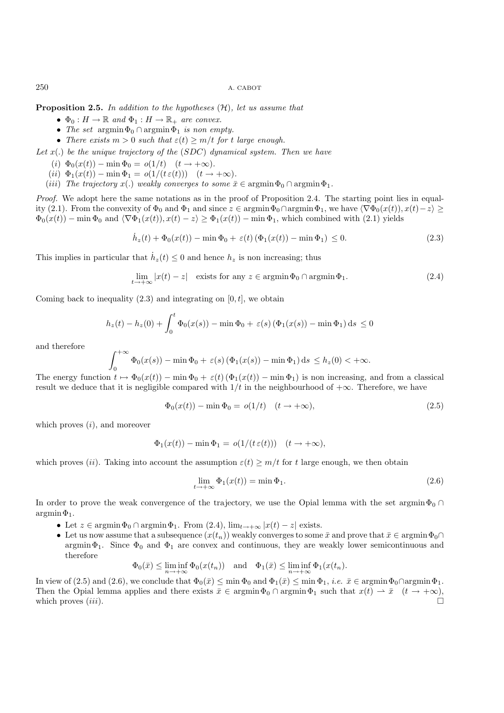**Proposition 2.5.** *In addition to the hypotheses* (H)*, let us assume that*

- $\Phi_0: H \to \mathbb{R}$  and  $\Phi_1: H \to \mathbb{R}_+$  are convex.
- *The set*  $\argmin \Phi_0 \cap \argmin \Phi_1$  *is non empty.*
- *There exists*  $m > 0$  *such that*  $\varepsilon(t) \geq m/t$  *for t large enough.*

*Let* x(.) *be the unique trajectory of the* (SDC) *dynamical system. Then we have*

- (*i*)  $\Phi_0(x(t)) \min \Phi_0 = o(1/t) \quad (t \to +\infty)$ .
- (ii)  $\Phi_1(x(t)) \min \Phi_1 = o(1/(t \varepsilon(t))) \quad (t \to +\infty)$ .
- (*iii*) *The trajectory*  $x(.)$  *weakly converges to some*  $\bar{x} \in \operatorname{argmin} \Phi_0 \cap \operatorname{argmin} \Phi_1$ .

*Proof.* We adopt here the same notations as in the proof of Proposition 2.4. The starting point lies in equality (2.1). From the convexity of  $\Phi_0$  and  $\Phi_1$  and since  $z \in \operatorname{argmin} \Phi_0 \cap \operatorname{argmin} \Phi_1$ , we have  $\langle \nabla \Phi_0(x(t)), x(t) - z \rangle \ge$  $\Phi_0(x(t))$  – min  $\Phi_0$  and  $\langle \nabla \Phi_1(x(t)), x(t) - z \rangle \ge \Phi_1(x(t))$  – min  $\Phi_1$ , which combined with (2.1) yields

$$
\dot{h}_z(t) + \Phi_0(x(t)) - \min \Phi_0 + \varepsilon(t) \left( \Phi_1(x(t)) - \min \Phi_1 \right) \le 0. \tag{2.3}
$$

This implies in particular that  $\dot{h}_z(t) \leq 0$  and hence  $h_z$  is non increasing; thus

$$
\lim_{t \to +\infty} |x(t) - z| \quad \text{exists for any } z \in \operatorname{argmin} \Phi_0 \cap \operatorname{argmin} \Phi_1. \tag{2.4}
$$

Coming back to inequality  $(2.3)$  and integrating on  $[0, t]$ , we obtain

$$
h_z(t) - h_z(0) + \int_0^t \Phi_0(x(s)) - \min \Phi_0 + \varepsilon(s) (\Phi_1(x(s)) - \min \Phi_1) ds \le 0
$$

and therefore

$$
\int_0^{+\infty} \Phi_0(x(s)) - \min \Phi_0 + \varepsilon(s) \left( \Phi_1(x(s)) - \min \Phi_1 \right) ds \le h_z(0) < +\infty.
$$

The energy function  $t \mapsto \Phi_0(x(t)) - \min \Phi_0 + \varepsilon(t) (\Phi_1(x(t)) - \min \Phi_1)$  is non increasing, and from a classical result we deduce that it is negligible compared with  $1/t$  in the neighbourhood of  $+\infty$ . Therefore, we have

$$
\Phi_0(x(t)) - \min \Phi_0 = o(1/t) \quad (t \to +\infty), \tag{2.5}
$$

which proves  $(i)$ , and moreover

<sup>+</sup><sup>∞</sup>

$$
\Phi_1(x(t)) - \min \Phi_1 = o(1/(t \varepsilon(t))) \quad (t \to +\infty),
$$

which proves (ii). Taking into account the assumption  $\varepsilon(t) \geq m/t$  for t large enough, we then obtain

$$
\lim_{t \to +\infty} \Phi_1(x(t)) = \min \Phi_1.
$$
\n(2.6)

In order to prove the weak convergence of the trajectory, we use the Opial lemma with the set argmin $\Phi_0 \cap$  $argmin \Phi_1$ .

- Let  $z \in \operatorname{argmin} \Phi_0 \cap \operatorname{argmin} \Phi_1$ . From  $(2.4)$ ,  $\lim_{t \to +\infty} |x(t) z|$  exists.
- Let us now assume that a subsequence  $(x(t_n))$  weakly converges to some  $\bar{x}$  and prove that  $\bar{x} \in \operatorname{argmin} \Phi_0 \cap$ argmin $\Phi_1$ . Since  $\Phi_0$  and  $\Phi_1$  are convex and continuous, they are weakly lower semicontinuous and therefore

$$
\Phi_0(\bar{x}) \le \liminf_{n \to +\infty} \Phi_0(x(t_n)) \quad \text{and} \quad \Phi_1(\bar{x}) \le \liminf_{n \to +\infty} \Phi_1(x(t_n)).
$$

In view of (2.5) and (2.6), we conclude that  $\Phi_0(\bar{x}) \le \min \Phi_0$  and  $\Phi_1(\bar{x}) \le \min \Phi_1$ , *i.e.*  $\bar{x} \in \operatorname{argmin} \Phi_0 \cap \operatorname{argmin} \Phi_1$ . Then the Opial lemma applies and there exists  $\bar{x} \in \operatorname{argmin} \Phi_0 \cap \operatorname{argmin} \Phi_1$  such that  $x(t) \to \bar{x}$   $(t \to +\infty)$ , which proves  $(iii)$ .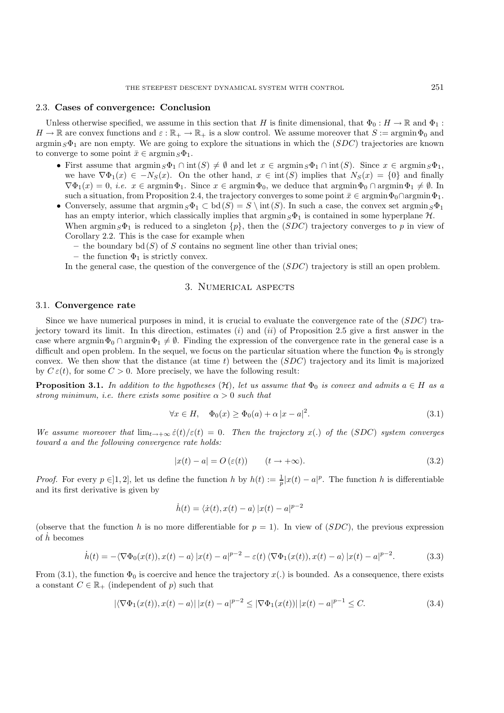#### 2.3. **Cases of convergence: Conclusion**

Unless otherwise specified, we assume in this section that H is finite dimensional, that  $\Phi_0: H \to \mathbb{R}$  and  $\Phi_1$ :  $H \to \mathbb{R}$  are convex functions and  $\varepsilon : \mathbb{R}_+ \to \mathbb{R}_+$  is a slow control. We assume moreover that  $S := \operatorname{argmin} \Phi_0$  and  $\argmin_{S} \Phi_1$  are non empty. We are going to explore the situations in which the  $(SDC)$  trajectories are known to converge to some point  $\bar{x} \in \operatorname{argmin}_{S} \Phi_1$ .

- First assume that  $\operatorname{argmin}_S \Phi_1 \cap \operatorname{int}(S) \neq \emptyset$  and let  $x \in \operatorname{argmin}_S \Phi_1 \cap \operatorname{int}(S)$ . Since  $x \in \operatorname{argmin}_S \Phi_1$ , we have  $\nabla \Phi_1(x) \in -N_S(x)$ . On the other hand,  $x \in \text{int}(S)$  implies that  $N_S(x) = \{0\}$  and finally  $\nabla \Phi_1(x) = 0$ , *i.e.*  $x \in \operatorname{argmin} \Phi_1$ . Since  $x \in \operatorname{argmin} \Phi_0$ , we deduce that  $\operatorname{argmin} \Phi_0 \cap \operatorname{argmin} \Phi_1 \neq \emptyset$ . In such a situation, from Proposition 2.4, the trajectory converges to some point  $\bar{x} \in \operatorname{argmin} \Phi_0 \cap \operatorname{argmin} \Phi_1$ .
- Conversely, assume that  $\operatorname{argmin}_S \Phi_1 \subset \text{bd}(S) = S \setminus \text{int}(S)$ . In such a case, the convex set  $\operatorname{argmin}_S \Phi_1$ has an empty interior, which classically implies that  $\operatorname{argmin}_S \Phi_1$  is contained in some hyperplane  $\mathcal{H}$ . When  $\arg\min_{S} \Phi_1$  is reduced to a singleton  $\{p\}$ , then the  $(SDC)$  trajectory converges to p in view of Corollary 2.2. This is the case for example when
	- the boundary  $\mathrm{bd}(S)$  of S contains no segment line other than trivial ones;
	- $-$  the function  $\Phi_1$  is strictly convex.

In the general case, the question of the convergence of the (SDC) trajectory is still an open problem.

## 3. Numerical aspects

#### 3.1. **Convergence rate**

Since we have numerical purposes in mind, it is crucial to evaluate the convergence rate of the  $(SDC)$  trajectory toward its limit. In this direction, estimates (i) and (ii) of Proposition 2.5 give a first answer in the case where argmin $\Phi_0 \cap \text{argmin} \Phi_1 \neq \emptyset$ . Finding the expression of the convergence rate in the general case is a difficult and open problem. In the sequel, we focus on the particular situation where the function  $\Phi_0$  is strongly convex. We then show that the distance (at time t) between the  $(SDC)$  trajectory and its limit is majorized by  $C \varepsilon(t)$ , for some  $C > 0$ . More precisely, we have the following result:

**Proposition 3.1.** *In addition to the hypotheses*  $(H)$ *, let us assume that*  $\Phi_0$  *is convex and admits*  $a \in H$  *as a strong minimum, i.e. there exists some positive*  $\alpha > 0$  *such that* 

$$
\forall x \in H, \quad \Phi_0(x) \ge \Phi_0(a) + \alpha |x - a|^2. \tag{3.1}
$$

*We assume moreover that*  $\lim_{t\to+\infty} \dot{\varepsilon}(t)/\varepsilon(t)=0$ . Then the trajectory x(.) of the (SDC) system converges *toward* a *and the following convergence rate holds:*

$$
|x(t) - a| = O(\varepsilon(t)) \qquad (t \to +\infty). \tag{3.2}
$$

*Proof.* For every  $p \in ]1,2]$ , let us define the function h by  $h(t) := \frac{1}{p} |x(t) - a|^p$ . The function h is differentiable and its first derivative is given by

$$
\dot{h}(t) = \langle \dot{x}(t), x(t) - a \rangle \, |x(t) - a|^{p-2}
$$

(observe that the function h is no more differentiable for  $p = 1$ ). In view of (SDC), the previous expression of  $\dot{h}$  becomes

$$
\dot{h}(t) = -\langle \nabla \Phi_0(x(t)), x(t) - a \rangle |x(t) - a|^{p-2} - \varepsilon(t) \langle \nabla \Phi_1(x(t)), x(t) - a \rangle |x(t) - a|^{p-2}.
$$
 (3.3)

From (3.1), the function  $\Phi_0$  is coercive and hence the trajectory  $x(.)$  is bounded. As a consequence, there exists a constant  $C \in \mathbb{R}_+$  (independent of p) such that

$$
|\langle \nabla \Phi_1(x(t)), x(t) - a \rangle| \, |x(t) - a|^{p-2} \leq |\nabla \Phi_1(x(t))| \, |x(t) - a|^{p-1} \leq C. \tag{3.4}
$$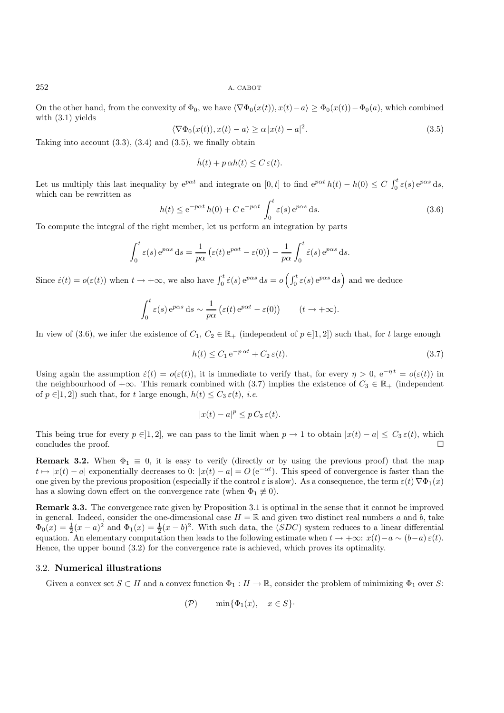On the other hand, from the convexity of  $\Phi_0$ , we have  $\langle \nabla \Phi_0(x(t)), x(t) - a \rangle \ge \Phi_0(x(t)) - \Phi_0(a)$ , which combined with (3.1) yields

$$
\langle \nabla \Phi_0(x(t)), x(t) - a \rangle \ge \alpha |x(t) - a|^2. \tag{3.5}
$$

Taking into account  $(3.3)$ ,  $(3.4)$  and  $(3.5)$ , we finally obtain

$$
\dot{h}(t) + p \alpha h(t) \le C \, \varepsilon(t).
$$

Let us multiply this last inequality by  $e^{p\alpha t}$  and integrate on  $[0, t]$  to find  $e^{p\alpha t} h(t) - h(0) \le C \int_0^t \varepsilon(s) e^{p\alpha s} ds$ , which can be rewritten as

$$
h(t) \le e^{-p\alpha t} h(0) + C e^{-p\alpha t} \int_0^t \varepsilon(s) e^{p\alpha s} ds.
$$
 (3.6)

To compute the integral of the right member, let us perform an integration by parts

$$
\int_0^t \varepsilon(s) e^{p\alpha s} ds = \frac{1}{p\alpha} \left( \varepsilon(t) e^{p\alpha t} - \varepsilon(0) \right) - \frac{1}{p\alpha} \int_0^t \dot{\varepsilon}(s) e^{p\alpha s} ds.
$$

Since  $\dot{\varepsilon}(t) = o(\varepsilon(t))$  when  $t \to +\infty$ , we also have  $\int_0^t \dot{\varepsilon}(s) e^{p\alpha s} ds = o\left(\int_0^t \varepsilon(s) e^{p\alpha s} ds\right)$  and we deduce

$$
\int_0^t \varepsilon(s) e^{p\alpha s} ds \sim \frac{1}{p\alpha} \left( \varepsilon(t) e^{p\alpha t} - \varepsilon(0) \right) \qquad (t \to +\infty).
$$

In view of (3.6), we infer the existence of  $C_1, C_2 \in \mathbb{R}_+$  (independent of  $p \in ]1,2]$ ) such that, for t large enough

$$
h(t) \le C_1 e^{-p \alpha t} + C_2 \varepsilon(t). \tag{3.7}
$$

Using again the assumption  $\dot{\varepsilon}(t) = o(\varepsilon(t))$ , it is immediate to verify that, for every  $\eta > 0$ ,  $e^{-\eta t} = o(\varepsilon(t))$  in the neighbourhood of  $+\infty$ . This remark combined with (3.7) implies the existence of  $C_3 \in \mathbb{R}_+$  (independent of  $p \in ]1, 2]$ ) such that, for t large enough,  $h(t) \leq C_3 \varepsilon(t)$ , *i.e.* 

$$
|x(t) - a|^p \le p C_3 \, \varepsilon(t).
$$

This being true for every  $p \in ]1, 2]$ , we can pass to the limit when  $p \to 1$  to obtain  $|x(t) - a| \leq C_3 \varepsilon(t)$ , which concludes the proof.  $\Box$ 

**Remark 3.2.** When  $\Phi_1 \equiv 0$ , it is easy to verify (directly or by using the previous proof) that the map  $t \mapsto |x(t) - a|$  exponentially decreases to 0:  $|x(t) - a| = O(e^{-\alpha t})$ . This speed of convergence is faster than the one given by the previous proposition (especially if the control  $\varepsilon$  is slow). As a consequence, the term  $\varepsilon(t) \nabla \Phi_1(x)$ has a slowing down effect on the convergence rate (when  $\Phi_1 \neq 0$ ).

**Remark 3.3.** The convergence rate given by Proposition 3.1 is optimal in the sense that it cannot be improved in general. Indeed, consider the one-dimensional case  $H = \mathbb{R}$  and given two distinct real numbers a and b, take  $\Phi_0(x) = \frac{1}{2}(x-a)^2$  and  $\Phi_1(x) = \frac{1}{2}(x-b)^2$ . With such data, the (SDC) system reduces to a linear differential equation. An elementary computation then leads to the following estimate when  $t \to +\infty$ :  $x(t) - a \sim (b-a) \varepsilon(t)$ . Hence, the upper bound (3.2) for the convergence rate is achieved, which proves its optimality.

## 3.2. **Numerical illustrations**

Given a convex set  $S \subset H$  and a convex function  $\Phi_1 : H \to \mathbb{R}$ , consider the problem of minimizing  $\Phi_1$  over S:

$$
(\mathcal{P}) \qquad \min\{\Phi_1(x), \quad x \in S\}.
$$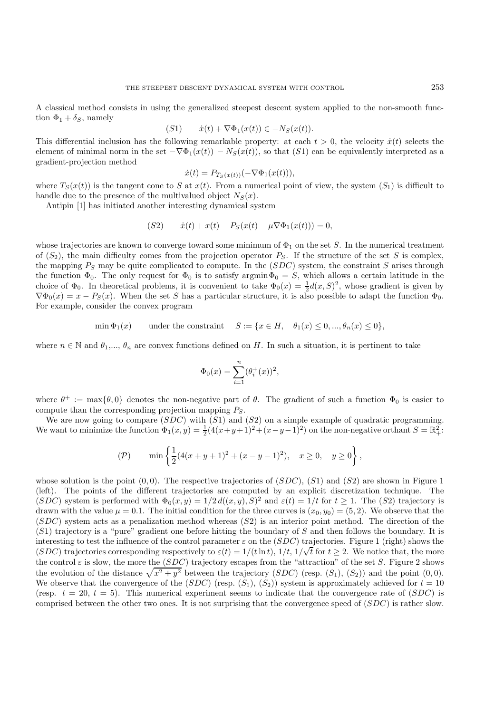A classical method consists in using the generalized steepest descent system applied to the non-smooth function  $\Phi_1 + \delta_S$ , namely

$$
(S1) \t\t \dot{x}(t) + \nabla \Phi_1(x(t)) \in -N_S(x(t)).
$$

This differential inclusion has the following remarkable property: at each  $t > 0$ , the velocity  $\dot{x}(t)$  selects the element of minimal norm in the set  $-\nabla \Phi_1(x(t)) - N_S(x(t))$ , so that (S1) can be equivalently interpreted as a gradient-projection method

$$
\dot{x}(t) = P_{T_S(x(t))}(-\nabla \Phi_1(x(t))),
$$

where  $T_S(x(t))$  is the tangent cone to S at  $x(t)$ . From a numerical point of view, the system  $(S_1)$  is difficult to handle due to the presence of the multivalued object  $N<sub>S</sub>(x)$ .

Antipin [1] has initiated another interesting dynamical system

$$
(S2) \t\t \dot{x}(t) + x(t) - P_S(x(t) - \mu \nabla \Phi_1(x(t))) = 0,
$$

whose trajectories are known to converge toward some minimum of  $\Phi_1$  on the set S. In the numerical treatment of  $(S_2)$ , the main difficulty comes from the projection operator  $P_S$ . If the structure of the set S is complex, the mapping  $P_S$  may be quite complicated to compute. In the (SDC) system, the constraint S arises through the function  $\Phi_0$ . The only request for  $\Phi_0$  is to satisfy argmin $\Phi_0 = S$ , which allows a certain latitude in the choice of  $\Phi_0$ . In theoretical problems, it is convenient to take  $\Phi_0(x) = \frac{1}{2}d(x, S)^2$ , whose gradient is given by  $\nabla \Phi_0(x) = x - P_S(x)$ . When the set S has a particular structure, it is also possible to adapt the function  $\Phi_0$ . For example, consider the convex program

$$
\min \Phi_1(x) \qquad \text{under the constraint} \qquad S := \{x \in H, \quad \theta_1(x) \le 0, ..., \theta_n(x) \le 0\},
$$

where  $n \in \mathbb{N}$  and  $\theta_1, \ldots, \theta_n$  are convex functions defined on H. In such a situation, it is pertinent to take

$$
\Phi_0(x) = \sum_{i=1}^n (\theta_i^+(x))^2,
$$

where  $\theta^+ := \max{\{\theta, 0\}}$  denotes the non-negative part of  $\theta$ . The gradient of such a function  $\Phi_0$  is easier to compute than the corresponding projection mapping  $P_S$ .

We are now going to compare  $(SDC)$  with  $(S1)$  and  $(S2)$  on a simple example of quadratic programming. We want to minimize the function  $\Phi_1(x,y) = \frac{1}{2}(4(x+y+1)^2 + (x-y-1)^2)$  on the non-negative orthant  $S = \mathbb{R}^2_+$ :

$$
(\mathcal{P}) \qquad \min\left\{\frac{1}{2}(4(x+y+1)^2 + (x-y-1)^2), \quad x \ge 0, \quad y \ge 0\right\},\
$$

whose solution is the point  $(0, 0)$ . The respective trajectories of  $(SDC)$ ,  $(S1)$  and  $(S2)$  are shown in Figure 1 (left). The points of the different trajectories are computed by an explicit discretization technique. The (SDC) system is performed with  $\Phi_0(x, y)=1/2 d((x, y), S)^2$  and  $\varepsilon(t)=1/t$  for  $t > 1$ . The (S2) trajectory is drawn with the value  $\mu = 0.1$ . The initial condition for the three curves is  $(x_0, y_0) = (5, 2)$ . We observe that the  $(SDC)$  system acts as a penalization method whereas  $(S2)$  is an interior point method. The direction of the (S1) trajectory is a "pure" gradient one before hitting the boundary of S and then follows the boundary. It is interesting to test the influence of the control parameter  $\varepsilon$  on the (SDC) trajectories. Figure 1 (right) shows the There sting to test the immedice of the control parameter  $\varepsilon$  on the (SDC) trajectories. Figure 1 (right) shows the  $(SDC)$  trajectories corresponding respectively to  $\varepsilon(t) = 1/(t \ln t)$ ,  $1/t$ ,  $1/\sqrt{t}$  for  $t \ge 2$ . We notic the control  $\varepsilon$  is slow, the more the (SDC) trajectory escapes from the "attraction" of the set S. Figure 2 shows the evolution of the distance  $\sqrt{x^2 + y^2}$  between the trajectory (SDC) (resp.  $(S_1)$ ,  $(S_2)$ ) and the point  $(0, 0)$ . We observe that the convergence of the (SDC) (resp.  $(S_1)$ ,  $(S_2)$ ) system is approximately achieved for  $t = 10$ (resp.  $t = 20$ ,  $t = 5$ ). This numerical experiment seems to indicate that the convergence rate of (SDC) is comprised between the other two ones. It is not surprising that the convergence speed of (SDC) is rather slow.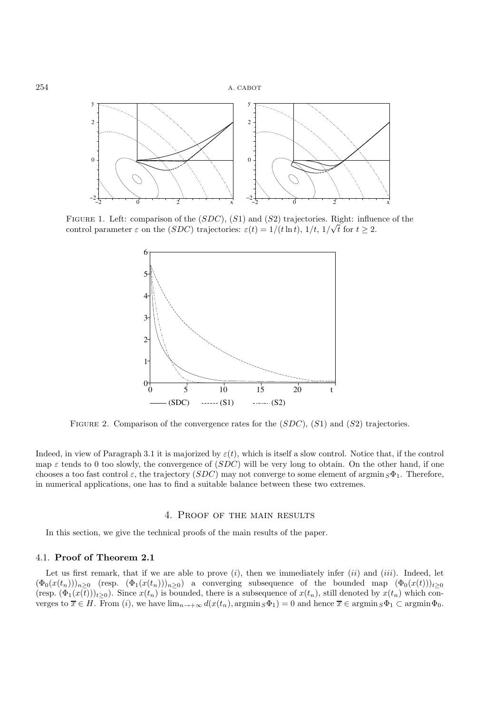

FIGURE 1. Left: comparison of the  $(SDC)$ ,  $(S1)$  and  $(S2)$  trajectories. Right: influence of the control parameter  $\varepsilon$  on the  $(SDC)$  trajectories:  $\varepsilon(t) = 1/(t \ln t), 1/t, 1/\sqrt{t}$  for  $t \geq 2$ .



FIGURE 2. Comparison of the convergence rates for the  $(SDC)$ ,  $(S1)$  and  $(S2)$  trajectories.

Indeed, in view of Paragraph 3.1 it is majorized by  $\varepsilon(t)$ , which is itself a slow control. Notice that, if the control map  $\varepsilon$  tends to 0 too slowly, the convergence of  $(SDC)$  will be very long to obtain. On the other hand, if one chooses a too fast control  $\varepsilon$ , the trajectory (SDC) may not converge to some element of argmin  $S\Phi_1$ . Therefore, in numerical applications, one has to find a suitable balance between these two extremes.

#### 4. Proof of the main results

In this section, we give the technical proofs of the main results of the paper.

## 4.1. **Proof of Theorem 2.1**

Let us first remark, that if we are able to prove  $(i)$ , then we immediately infer  $(ii)$  and  $(iii)$ . Indeed, let  $(\Phi_0(x(t_n)))_{n\geq 0}$  (resp.  $(\Phi_1(x(t_n)))_{n\geq 0}$ ) a converging subsequence of the bounded map  $(\Phi_0(x(t)))_{t\geq 0}$ (resp.  $(\Phi_1(x(t)))_{t\geq0}$ ). Since  $x(t_n)$  is bounded, there is a subsequence of  $x(t_n)$ , still denoted by  $x(t_n)$  which converges to  $\overline{x} \in H$ . From  $(i)$ , we have  $\lim_{n \to +\infty} d(x(t_n), \arg\min_{S} \Phi_1) = 0$  and hence  $\overline{x} \in \arg\min_{S} \Phi_1 \subset \arg\min_{S} \Phi_0$ .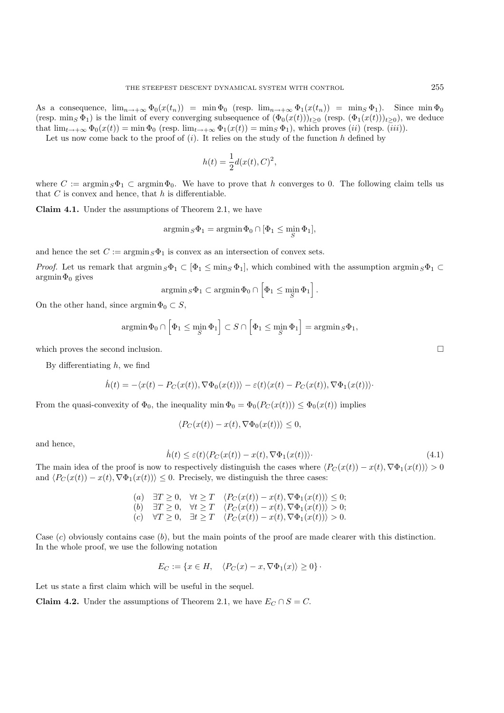As a consequence,  $\lim_{n\to+\infty} \Phi_0(x(t_n)) = \min \Phi_0$  (resp.  $\lim_{n\to+\infty} \Phi_1(x(t_n)) = \min S \Phi_1$ ). Since  $\min \Phi_0$ (resp. min<sub>S</sub>  $\Phi_1$ ) is the limit of every converging subsequence of  $(\Phi_0(x(t)))_{t>0}$  (resp.  $(\Phi_1(x(t)))_{t>0}$ ), we deduce that  $\lim_{t\to+\infty} \Phi_0(x(t)) = \min \Phi_0$  (resp.  $\lim_{t\to+\infty} \Phi_1(x(t)) = \min_S \Phi_1$ ), which proves (*ii*) (resp. (*iii*)).

Let us now come back to the proof of  $(i)$ . It relies on the study of the function h defined by

$$
h(t) = \frac{1}{2}d(x(t), C)^2,
$$

where  $C := \operatorname{argmin}_S \Phi_1 \subset \operatorname{argmin}_S \Phi_0$ . We have to prove that h converges to 0. The following claim tells us that  $C$  is convex and hence, that  $h$  is differentiable.

**Claim 4.1.** Under the assumptions of Theorem 2.1, we have

$$
\operatorname{argmin}_{S} \Phi_1 = \operatorname{argmin}_{\Phi_0} \Phi_0 \cap [\Phi_1 \le \min_{S} \Phi_1],
$$

and hence the set  $C := \operatorname{argmin}_{S} \Phi_1$  is convex as an intersection of convex sets.

*Proof.* Let us remark that  $\operatorname{argmin}_S \Phi_1 \subset [\Phi_1 \leq \min_S \Phi_1]$ , which combined with the assumption  $\operatorname{argmin}_S \Phi_1 \subset$  $argmin \Phi_0$  gives

$$
\operatorname{argmin}_{S} \Phi_1 \subset \operatorname{argmin}_{\Phi_0} \Phi_0 \cap \left[ \Phi_1 \leq \min_{S} \Phi_1 \right].
$$

On the other hand, since  $\text{argmin}\Phi_0 \subset S$ ,

$$
\operatorname{argmin} \Phi_0 \cap \left[ \Phi_1 \le \min_S \Phi_1 \right] \subset S \cap \left[ \Phi_1 \le \min_S \Phi_1 \right] = \operatorname{argmin}_S \Phi_1,
$$

which proves the second inclusion.  $\Box$ 

By differentiating  $h$ , we find

$$
\dot{h}(t) = -\langle x(t) - P_C(x(t)), \nabla \Phi_0(x(t))\rangle - \varepsilon(t)\langle x(t) - P_C(x(t)), \nabla \Phi_1(x(t))\rangle
$$

From the quasi-convexity of  $\Phi_0$ , the inequality min  $\Phi_0 = \Phi_0(P_C(x(t))) \leq \Phi_0(x(t))$  implies

$$
\langle P_C(x(t)) - x(t), \nabla \Phi_0(x(t)) \rangle \le 0,
$$

and hence,

$$
\dot{h}(t) \le \varepsilon(t) \langle P_C(x(t)) - x(t), \nabla \Phi_1(x(t)) \rangle.
$$
\n(4.1)

The main idea of the proof is now to respectively distinguish the cases where  $\langle P_C(x(t)) - x(t), \nabla \Phi_1(x(t)) \rangle > 0$ and  $\langle P_C(x(t)) - x(t), \nabla \Phi_1(x(t)) \rangle \leq 0$ . Precisely, we distinguish the three cases:

(a) 
$$
\exists T \geq 0
$$
,  $\forall t \geq T$   $\langle P_C(x(t)) - x(t), \nabla \Phi_1(x(t)) \rangle \leq 0$ ;  
\n(b)  $\exists T \geq 0$ ,  $\forall t \geq T$   $\langle P_C(x(t)) - x(t), \nabla \Phi_1(x(t)) \rangle > 0$ ;  
\n(c)  $\forall T \geq 0$ ,  $\exists t \geq T$   $\langle P_C(x(t)) - x(t), \nabla \Phi_1(x(t)) \rangle > 0$ .

Case  $(c)$  obviously contains case  $(b)$ , but the main points of the proof are made clearer with this distinction. In the whole proof, we use the following notation

$$
E_C := \{ x \in H, \quad \langle P_C(x) - x, \nabla \Phi_1(x) \rangle \ge 0 \}.
$$

Let us state a first claim which will be useful in the sequel.

**Claim 4.2.** Under the assumptions of Theorem 2.1, we have  $E_C \cap S = C$ .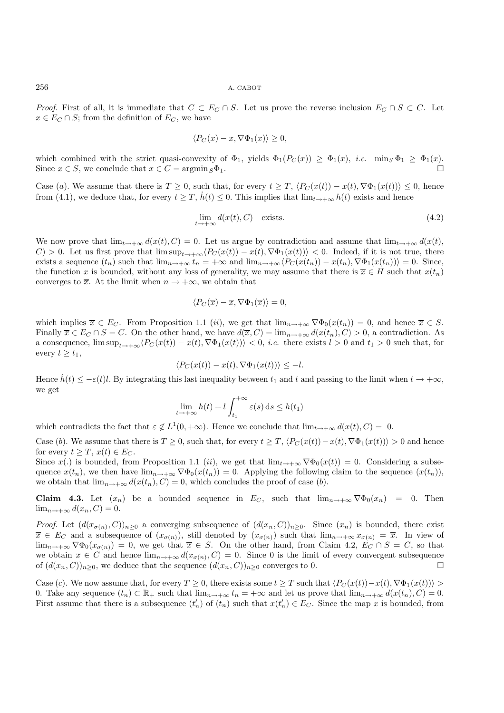*Proof.* First of all, it is immediate that  $C \subset E_C \cap S$ . Let us prove the reverse inclusion  $E_C \cap S \subset C$ . Let  $x \in E_C \cap S$ ; from the definition of  $E_C$ , we have

$$
\langle P_C(x) - x, \nabla \Phi_1(x) \rangle \ge 0,
$$

which combined with the strict quasi-convexity of  $\Phi_1$ , yields  $\Phi_1(P_C(x)) \geq \Phi_1(x)$ , *i.e.* min<sub>S</sub>  $\Phi_1 \geq \Phi_1(x)$ . Since  $x \in S$ , we conclude that  $x \in C = \operatorname{argmin}_{S} \Phi_1$ .

Case (a). We assume that there is  $T \geq 0$ , such that, for every  $t \geq T$ ,  $\langle P_C(x(t)) - x(t), \nabla \Phi_1(x(t)) \rangle \leq 0$ , hence from (4.1), we deduce that, for every  $t \geq T$ ,  $h(t) \leq 0$ . This implies that  $\lim_{t \to +\infty} h(t)$  exists and hence

$$
\lim_{t \to +\infty} d(x(t), C) \quad \text{exists.} \tag{4.2}
$$

We now prove that  $\lim_{t\to+\infty} d(x(t), C) = 0$ . Let us argue by contradiction and assume that  $\lim_{t\to+\infty} d(x(t), C)$  $C$  > 0. Let us first prove that  $\limsup_{t\to+\infty}$   $\langle P_C(x(t)) - x(t), \nabla \Phi_1(x(t)) \rangle$  < 0. Indeed, if it is not true, there exists a sequence  $(t_n)$  such that  $\lim_{n\to+\infty} t_n = +\infty$  and  $\lim_{n\to+\infty} \langle P_C(x(t_n)) - x(t_n), \nabla \Phi_1(x(t_n)) \rangle = 0$ . Since, the function x is bounded, without any loss of generality, we may assume that there is  $\overline{x} \in H$  such that  $x(t_n)$ converges to  $\overline{x}$ . At the limit when  $n \to +\infty$ , we obtain that

$$
\langle P_C(\overline{x}) - \overline{x}, \nabla \Phi_1(\overline{x}) \rangle = 0,
$$

which implies  $\overline{x} \in E_C$ . From Proposition 1.1 (*ii*), we get that  $\lim_{n \to +\infty} \nabla \Phi_0(x(t_n)) = 0$ , and hence  $\overline{x} \in S$ . Finally  $\overline{x} \in E_C \cap S = C$ . On the other hand, we have  $d(\overline{x}, C) = \lim_{n \to +\infty} d(x(t_n), C) > 0$ , a contradiction. As a consequence,  $\limsup_{t\to+\infty} \langle P_C(x(t)) - x(t), \nabla \Phi_1(x(t)) \rangle < 0$ , *i.e.* there exists  $l > 0$  and  $t_1 > 0$  such that, for every  $t \geq t_1$ ,

$$
\langle P_C(x(t)) - x(t), \nabla \Phi_1(x(t)) \rangle \le -l.
$$

Hence  $h(t) \leq -\varepsilon(t)l$ . By integrating this last inequality between  $t_1$  and  $t$  and passing to the limit when  $t \to +\infty$ , we get

$$
\lim_{t \to +\infty} h(t) + l \int_{t_1}^{+\infty} \varepsilon(s) \, \mathrm{d}s \le h(t_1)
$$

which contradicts the fact that  $\varepsilon \notin L^1(0, +\infty)$ . Hence we conclude that  $\lim_{t\to+\infty} d(x(t), C) = 0$ .

Case (b). We assume that there is  $T \ge 0$ , such that, for every  $t \ge T$ ,  $\langle P_C(x(t)) - x(t), \nabla \Phi_1(x(t)) \rangle > 0$  and hence for every  $t \geq T$ ,  $x(t) \in E_C$ .

Since  $x(.)$  is bounded, from Proposition 1.1 (ii), we get that  $\lim_{t\to+\infty} \nabla \Phi_0(x(t)) = 0$ . Considering a subsequence  $x(t_n)$ , we then have  $\lim_{n\to+\infty}\nabla\Phi_0(x(t_n))=0$ . Applying the following claim to the sequence  $(x(t_n))$ , we obtain that  $\lim_{n\to+\infty} d(x(t_n), C) = 0$ , which concludes the proof of case (b).

**Claim 4.3.** Let  $(x_n)$  be a bounded sequence in  $E_C$ , such that  $\lim_{n\to+\infty} \nabla \Phi_0(x_n) = 0$ . Then  $\lim_{n\to+\infty} d(x_n, C) = 0.$ 

*Proof.* Let  $(d(x_{\sigma(n)}, C))_{n\geq 0}$  a converging subsequence of  $(d(x_n, C))_{n\geq 0}$ . Since  $(x_n)$  is bounded, there exist  $\overline{x} \in E_C$  and a subsequence of  $(x_{\sigma(n)})$ , still denoted by  $(x_{\sigma(n)})$  such that  $\lim_{n\to+\infty} x_{\sigma(n)} = \overline{x}$ . In view of  $\lim_{n\to+\infty}\nabla\Phi_0(x_{\sigma(n)})=0$ , we get that  $\overline{x}\in S$ . On the other hand, from Claim 4.2,  $E_C\cap S=C$ , so that we obtain  $\overline{x} \in C$  and hence  $\lim_{n \to +\infty} d(x_{\sigma(n)}, C) = 0$ . Since 0 is the limit of every convergent subsequence of  $(d(x_0, C))_{n>0}$  we deduce that the sequence  $(d(x_0, C))_{n>0}$  converges to 0 of  $(d(x_n, C))_{n\geq 0}$ , we deduce that the sequence  $(d(x_n, C))_{n\geq 0}$  converges to 0.

Case (c). We now assume that, for every  $T \geq 0$ , there exists some  $t \geq T$  such that  $\langle P_C(x(t)) - x(t), \nabla \Phi_1(x(t)) \rangle >$ 0. Take any sequence  $(t_n) \subset \mathbb{R}_+$  such that  $\lim_{n \to +\infty} t_n = +\infty$  and let us prove that  $\lim_{n \to +\infty} d(x(t_n), C) = 0$ . First assume that there is a subsequence  $(t'_n)$  of  $(t_n)$  such that  $x(t'_n) \in E_C$ . Since the map x is bounded, from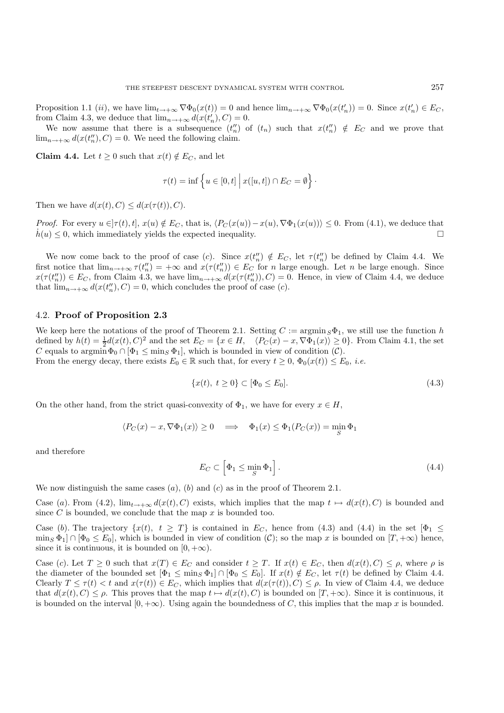Proposition 1.1 (*ii*), we have  $\lim_{t\to+\infty} \nabla \Phi_0(x(t)) = 0$  and hence  $\lim_{n\to+\infty} \nabla \Phi_0(x(t'_n)) = 0$ . Since  $x(t'_n) \in E_C$ , from Claim 4.3, we deduce that  $\lim_{n \to +\infty} d(x(t'_n), C) = 0$ .

We now assume that there is a subsequence  $(t_n'')$  of  $(t_n)$  such that  $x(t_n'') \notin E_C$  and we prove that  $\lim_{n\to+\infty} d(x(t''_n), C) = 0$ . We need the following claim.

**Claim 4.4.** Let  $t \geq 0$  such that  $x(t) \notin E_C$ , and let

$$
\tau(t) = \inf \left\{ u \in [0, t] \mid x([u, t]) \cap E_C = \emptyset \right\}.
$$

Then we have  $d(x(t), C) \leq d(x(\tau(t)), C)$ .

*Proof.* For every  $u \in [\tau(t), t]$ ,  $x(u) \notin E_C$ , that is,  $\langle P_C(x(u)) - x(u), \nabla \Phi_1(x(u)) \rangle \leq 0$ . From (4.1), we deduce that  $h(u) \leq 0$ , which immediately yields the expected inequality.

We now come back to the proof of case (c). Since  $x(t_n') \notin E_C$ , let  $\tau(t_n'')$  be defined by Claim 4.4. We first notice that  $\lim_{n\to+\infty}\tau(t_n'')=+\infty$  and  $x(\tau(t_n''))\in E_C$  for n large enough. Let n be large enough. Since  $x(\tau(t'_{n})) \in E_{C}$ , from Claim 4.3, we have  $\lim_{n \to +\infty} d(x(\tau(t'_{n})), C) = 0$ . Hence, in view of Claim 4.4, we deduce that  $\lim_{n\to+\infty} d(x(t''_n), C) = 0$ , which concludes the proof of case (*c*).

#### 4.2. **Proof of Proposition 2.3**

We keep here the notations of the proof of Theorem 2.1. Setting  $C := \operatorname{argmin}_{S} \Phi_1$ , we still use the function h defined by  $h(t) = \frac{1}{2}d(x(t), C)^2$  and the set  $E_C = \{x \in H, \langle P_C(x) - x, \nabla \Phi_1(x) \rangle \ge 0\}$ . From Claim 4.1, the set C equals to  $\operatorname{argmin} \Phi_0 \cap [\Phi_1 \leq \min_S \Phi_1],$  which is bounded in view of condition  $(C)$ . From the energy decay, there exists  $E_0 \in \mathbb{R}$  such that, for every  $t \geq 0$ ,  $\Phi_0(x(t)) \leq E_0$ , *i.e.* 

$$
\{x(t), \ t \ge 0\} \subset [\Phi_0 \le E_0].\tag{4.3}
$$

On the other hand, from the strict quasi-convexity of  $\Phi_1$ , we have for every  $x \in H$ ,

$$
\langle P_C(x) - x, \nabla \Phi_1(x) \rangle \ge 0 \quad \Longrightarrow \quad \Phi_1(x) \le \Phi_1(P_C(x)) = \min_S \Phi_1
$$

and therefore

$$
E_C \subset \left[\Phi_1 \le \min_S \Phi_1\right].\tag{4.4}
$$

We now distinguish the same cases  $(a)$ ,  $(b)$  and  $(c)$  as in the proof of Theorem 2.1.

Case (a). From (4.2),  $\lim_{t\to+\infty} d(x(t), C)$  exists, which implies that the map  $t \mapsto d(x(t), C)$  is bounded and since  $C$  is bounded, we conclude that the map  $x$  is bounded too.

Case (b). The trajectory  $\{x(t), t \geq T\}$  is contained in  $E_C$ , hence from (4.3) and (4.4) in the set  $[\Phi_1 \leq$  $\min_{S} \Phi_1 \cap [\Phi_0 \leq E_0],$  which is bounded in view of condition  $(C)$ ; so the map x is bounded on  $[T, +\infty)$  hence, since it is continuous, it is bounded on  $[0, +\infty)$ .

Case (c). Let  $T \ge 0$  such that  $x(T) \in E_C$  and consider  $t \ge T$ . If  $x(t) \in E_C$ , then  $d(x(t), C) \le \rho$ , where  $\rho$  is the diameter of the bounded set  $[\Phi_1 \le \min_S \Phi_1] \cap [\Phi_0 \le E_0]$ . If  $x(t) \notin E_C$ , let  $\tau(t)$  be defined by Claim 4.4. Clearly  $T \leq \tau(t) < t$  and  $x(\tau(t)) \in E_C$ , which implies that  $d(x(\tau(t)), C) \leq \rho$ . In view of Claim 4.4, we deduce that  $d(x(t), C) \leq \rho$ . This proves that the map  $t \mapsto d(x(t), C)$  is bounded on  $[T, +\infty)$ . Since it is continuous, it is bounded on the interval  $[0, +\infty)$ . Using again the boundedness of C, this implies that the map x is bounded.